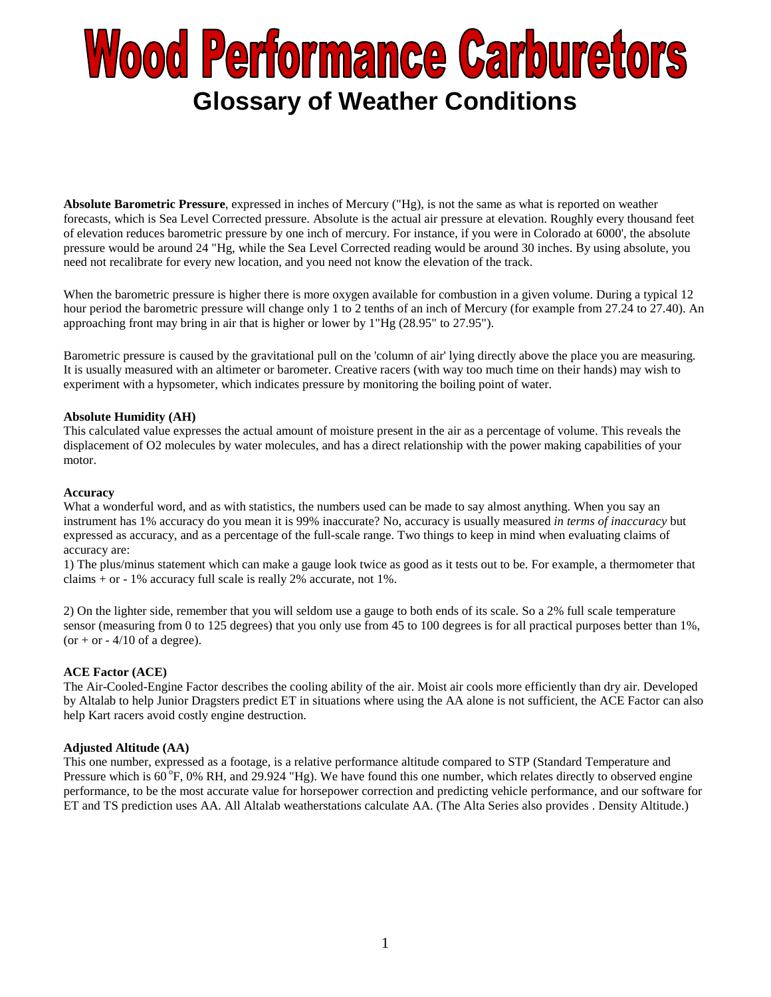# **Wood Performance Carburetors Glossary of Weather Conditions**

**Absolute Barometric Pressure**, expressed in inches of Mercury ("Hg), is not the same as what is reported on weather forecasts, which is Sea Level Corrected pressure. Absolute is the actual air pressure at elevation. Roughly every thousand feet of elevation reduces barometric pressure by one inch of mercury. For instance, if you were in Colorado at 6000', the absolute pressure would be around 24 "Hg, while the Sea Level Corrected reading would be around 30 inches. By using absolute, you need not recalibrate for every new location, and you need not know the elevation of the track.

When the barometric pressure is higher there is more oxygen available for combustion in a given volume. During a typical 12 hour period the barometric pressure will change only 1 to 2 tenths of an inch of Mercury (for example from 27.24 to 27.40). An approaching front may bring in air that is higher or lower by 1"Hg (28.95" to 27.95").

Barometric pressure is caused by the gravitational pull on the 'column of air' lying directly above the place you are measuring. It is usually measured with an altimeter or barometer. Creative racers (with way too much time on their hands) may wish to experiment with a hypsometer, which indicates pressure by monitoring the boiling point of water.

## **Absolute Humidity (AH)**

This calculated value expresses the actual amount of moisture present in the air as a percentage of volume. This reveals the displacement of O2 molecules by water molecules, and has a direct relationship with the power making capabilities of your motor.

#### **Accuracy**

What a wonderful word, and as with statistics, the numbers used can be made to say almost anything. When you say an instrument has 1% accuracy do you mean it is 99% inaccurate? No, accuracy is usually measured *in terms of inaccuracy* but expressed as accuracy, and as a percentage of the full-scale range. Two things to keep in mind when evaluating claims of accuracy are:

1) The plus/minus statement which can make a gauge look twice as good as it tests out to be. For example, a thermometer that claims + or - 1% accuracy full scale is really 2% accurate, not 1%.

2) On the lighter side, remember that you will seldom use a gauge to both ends of its scale. So a 2% full scale temperature sensor (measuring from 0 to 125 degrees) that you only use from 45 to 100 degrees is for all practical purposes better than 1%, (or  $+$  or  $-$  4/10 of a degree).

## **ACE Factor (ACE)**

The Air-Cooled-Engine Factor describes the cooling ability of the air. Moist air cools more efficiently than dry air. Developed by Altalab to help Junior Dragsters predict ET in situations where using the AA alone is not sufficient, the ACE Factor can also help Kart racers avoid costly engine destruction.

#### **Adjusted Altitude (AA)**

This one number, expressed as a footage, is a relative performance altitude compared to STP (Standard Temperature and Pressure which is  $60^\circ$ F,  $0\%$  RH, and  $29.924$  "Hg). We have found this one number, which relates directly to observed engine performance, to be the most accurate value for horsepower correction and predicting vehicle performance, and our software for ET and TS prediction uses AA. All Altalab weatherstations calculate AA. (The Alta Series also provides . Density Altitude.)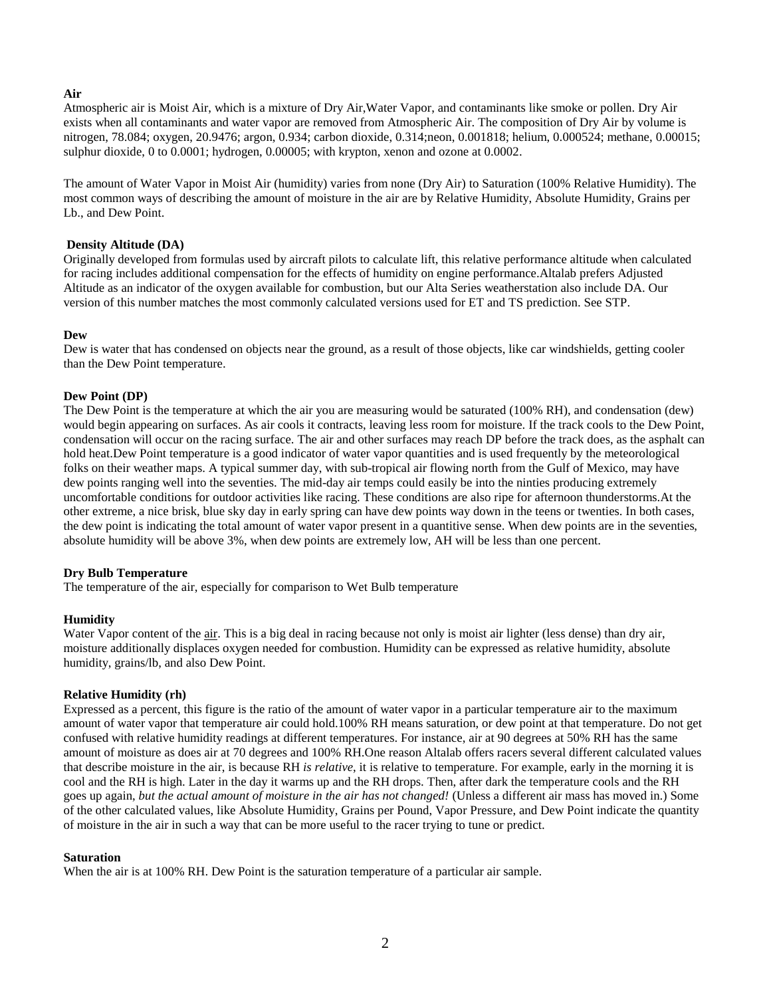## **Air**

Atmospheric air is Moist Air, which is a mixture of Dry Air,Water Vapor, and contaminants like smoke or pollen. Dry Air exists when all contaminants and water vapor are removed from Atmospheric Air. The composition of Dry Air by volume is nitrogen, 78.084; oxygen, 20.9476; argon, 0.934; carbon dioxide, 0.314;neon, 0.001818; helium, 0.000524; methane, 0.00015; sulphur dioxide, 0 to 0.0001; hydrogen, 0.00005; with krypton, xenon and ozone at 0.0002.

The amount of Water Vapor in Moist Air (humidity) varies from none (Dry Air) to Saturation (100% Relative Humidity). The most common ways of describing the amount of moisture in the air are by Relative Humidity, Absolute Humidity, Grains per Lb., and Dew Point.

#### **Density Altitude (DA)**

Originally developed from formulas used by aircraft pilots to calculate lift, this relative performance altitude when calculated for racing includes additional compensation for the effects of humidity on engine performance.Altalab prefers Adjusted Altitude as an indicator of the oxygen available for combustion, but our Alta Series weatherstation also include DA. Our version of this number matches the most commonly calculated versions used for ET and TS prediction. See STP.

## **Dew**

Dew is water that has condensed on objects near the ground, as a result of those objects, like car windshields, getting cooler than the Dew Point temperature.

## **Dew Point (DP)**

The Dew Point is the temperature at which the air you are measuring would be saturated (100% RH), and condensation (dew) would begin appearing on surfaces. As air cools it contracts, leaving less room for moisture. If the track cools to the Dew Point, condensation will occur on the racing surface. The air and other surfaces may reach DP before the track does, as the asphalt can hold heat.Dew Point temperature is a good indicator of water vapor quantities and is used frequently by the meteorological folks on their weather maps. A typical summer day, with sub-tropical air flowing north from the Gulf of Mexico, may have dew points ranging well into the seventies. The mid-day air temps could easily be into the ninties producing extremely uncomfortable conditions for outdoor activities like racing. These conditions are also ripe for afternoon thunderstorms.At the other extreme, a nice brisk, blue sky day in early spring can have dew points way down in the teens or twenties. In both cases, the dew point is indicating the total amount of water vapor present in a quantitive sense. When dew points are in the seventies, absolute humidity will be above 3%, when dew points are extremely low, AH will be less than one percent.

#### **Dry Bulb Temperature**

The temperature of the air, especially for comparison to Wet Bulb temperature

#### **Humidity**

Water Vapor content of the air. This is a big deal in racing because not only is moist air lighter (less dense) than dry air, moisture additionally displa[ces](http://www.altalabinstrument.com/glossary.html#air) oxygen needed for combustion. Humidity can be expressed as relative humidity, absolute humidity, grains/lb, and also Dew Point.

#### **Relative Humidity (rh)**

Expressed as a percent, this figure is the ratio of the amount of water vapor in a particular temperature air to the maximum amount of water vapor that temperature air could hold.100% RH means saturation, or dew point at that temperature. Do not get confused with relative humidity readings at different temperatures. For instance, air at 90 degrees at 50% RH has the same amount of moisture as does air at 70 degrees and 100% RH.One reason Altalab offers racers several different calculated values that describe moisture in the air, is because RH *is relative*, it is relative to temperature. For example, early in the morning it is cool and the RH is high. Later in the day it warms up and the RH drops. Then, after dark the temperature cools and the RH goes up again, *but the actual amount of moisture in the air has not changed!* (Unless a different air mass has moved in.) Some of the other calculated values, like Absolute Humidity, Grains per Pound, Vapor Pressure, and Dew Point indicate the quantity of moisture in the air in such a way that can be more useful to the racer trying to tune or predict.

#### **Saturation**

When the air is at 100% RH. Dew Point is the saturation temperature of a particular air sample.